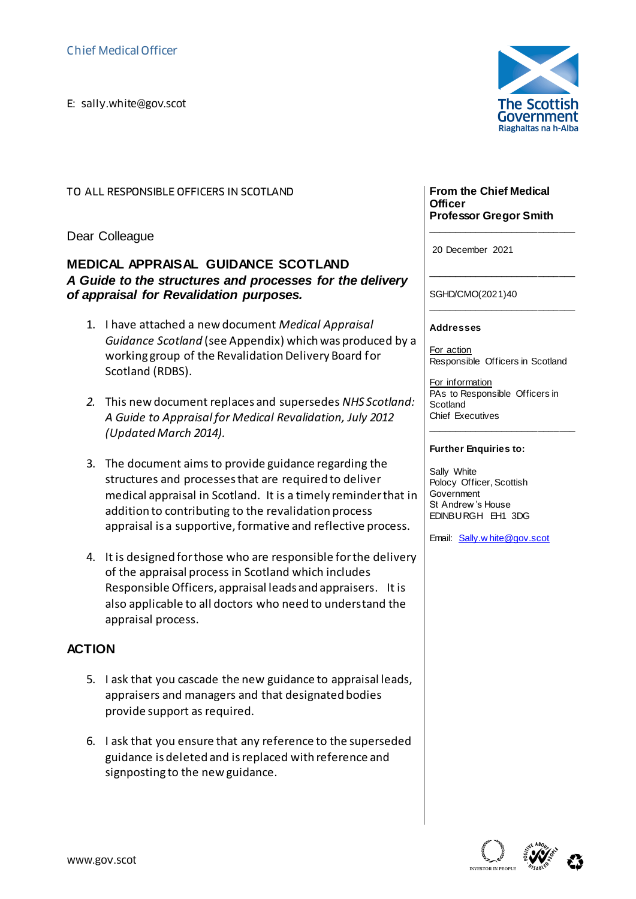E: sally.white@gov.scot<br>E: sally.white@gov.scot<br>E:

TO ALL RESPONSIBLE OFFICERS IN SCOTLAND

Dear Colleague

## **MEDICAL APPRAISAL GUIDANCE SCOTLAND** *A Guide to the structures and processes for the delivery of appraisal for Revalidation purposes.*

- 1. I have attached a new document *Medical Appraisal Guidance Scotland* (see Appendix) which was produced by a working group of the Revalidation Delivery Board for Scotland (RDBS).
- *2.* This new document replaces and supersedes *NHS Scotland: A Guide to Appraisal for Medical Revalidation, July 2012 (Updated March 2014).*
- 3. The document aims to provide guidance regarding the structures and processes that are required to deliver medical appraisal in Scotland. It is a timely reminder that in addition to contributing to the revalidation process appraisal is a supportive, formative and reflective process.
- 4. It is designed for those who are responsible for the delivery of the appraisal process in Scotland which includes Responsible Officers, appraisal leads and appraisers. It is also applicable to all doctors who need to understand the appraisal process.

## **ACTION**

- 5. I ask that you cascade the new guidance to appraisal leads, appraisers and managers and that designated bodies provide support as required.
- 6. I ask that you ensure that any reference to the superseded guidance is deleted and is replaced with reference and signposting to the new guidance.



#### **From the Chief Medical Officer Professor Gregor Smith**

\_\_\_\_\_\_\_\_\_\_\_\_\_\_\_\_\_\_\_\_\_\_\_\_\_\_\_\_

\_\_\_\_\_\_\_\_\_\_\_\_\_\_\_\_\_\_\_\_\_\_\_\_\_\_\_\_

\_\_\_\_\_\_\_\_\_\_\_\_\_\_\_\_\_\_\_\_\_\_\_\_\_\_\_\_

20 December 2021

SGHD/CMO(2021)40

**Addresses**

For action Responsible Officers in Scotland

For information PAs to Responsible Officers in **Scotland** Chief Executives

\_\_\_\_\_\_\_\_\_\_\_\_\_\_\_\_\_\_\_\_\_\_\_\_\_\_\_\_

### **Further Enquiries to:**

Sally White Polocy Officer, Scottish **Government** St Andrew 's House EDINBURGH EH1 3DG

Email: [Sally.w hite@gov.scot](mailto:Sally.white@gov.scot)